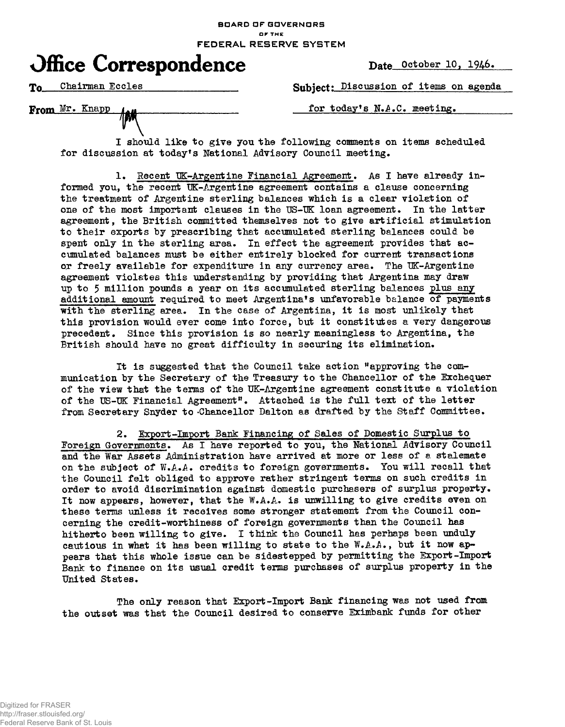## **BOARD OF GOVERNORS or THE FEDERAL RESERVE SYSTEM**



To Chairman Eccles **Subject:** Discussion of items on agenda

From Mr. Knapp  $\mu$   $\mu$  for today's N.A.C. meeting.

I should like to give you the following comments on items scheduled for discussion at today's National Advisory Council meeting.

1. Recent UK-Argentine Financial Agreement. As I have already informed you, the recent UK-Argentine agreement contains a clause concerning the treatment of Argentine sterling balances which is a clear violation of one of the most important clauses in the US-UK loan agreement. In the latter agreement, the British committed themselves not to give artificial stimulation to their exports by prescribing that accumulated sterling balances could be spent only in the sterling area. In effect the agreement provides that accumulated balances must be either entirely blocked for current transactions or freely available for expenditure in any currency area. The UK-Argentine agreement violates this understanding by providing that Argentina may draw up to 5 million pounds a year on its accumulated sterling balances plus any additional amount required to meet Argentina's unfavorable balance of payments with the sterling area. In the case of Argentina, it is most unlikely that this provision would ever come into force, but it constitutes a very dangerous precedent. Since this provision is so nearly meaningless to Argentina, the British should have no great difficulty in securing its elimination.

It is suggested that the Council take action "approving the munication by the Secretary of the Treasury to the Chancellor of the Exchequer of the view that the terms of the UK-Argentine agreement constitute a violation of the US-UK Financial Agreement". Attached is the full text of the letter from Secretary Snyder to -Chancellor Dalton as drafted by the Staff Committee.

2. Export-Import Bank Financing of Sales of Domestic Surplus to Foreign governments. As I have reported to you, the National Advisory Council and the War Assets Administration have arrived at more or less of a stalemate on the subject of W.A.A. credits to foreign governments. You will recall that the Council felt obliged to approve rather stringent terms on such credits in order to avoid discrimination against domestic purchasers of surplus property. It now appears, however, that the W.A.A. is unwilling to give credits even on these terms unless it receives some stronger statement from the Council concerning the credit-worthiness of foreign governments than the Council has hitherto been willing to give. I think the Council has perhaps been unduly cautious in what it has been willing to state to the  $W.A.A.$ , but it now appears that this whole issue can be sidestepped by permitting the Export-Import Bank to finance on its usual credit terms purchases of surplus property in the United States.

The only reason that Export-Import Bank financing was not used from the outset was that the Council desired to conserve Eximbank funds for other